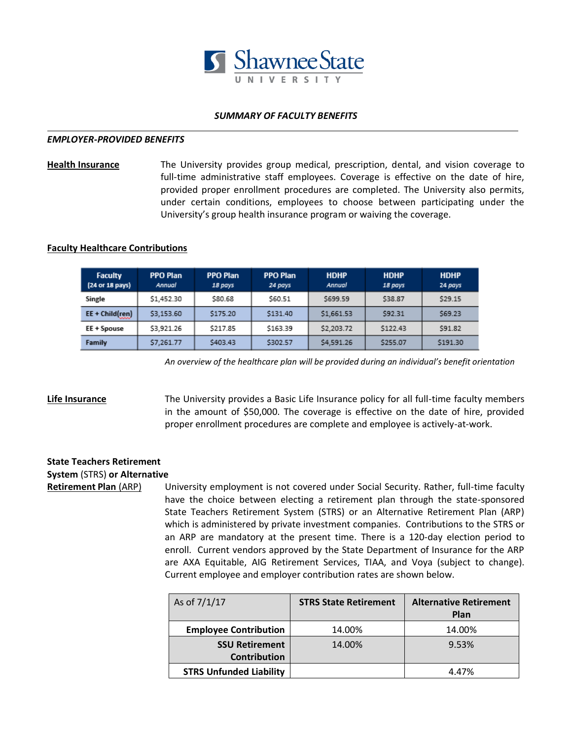

## *SUMMARY OF FACULTY BENEFITS*

#### *EMPLOYER-PROVIDED BENEFITS*

**Health Insurance** The University provides group medical, prescription, dental, and vision coverage to full-time administrative staff employees. Coverage is effective on the date of hire, provided proper enrollment procedures are completed. The University also permits, under certain conditions, employees to choose between participating under the University's group health insurance program or waiving the coverage.

## **Faculty Healthcare Contributions**

| <b>Faculty</b><br>(24 or 18 pays) | <b>PPO Plan</b><br>Annual | <b>PPO Plan</b><br>18 pays | <b>PPO Plan</b><br>24 pays | <b>HDHP</b><br>Annual | <b>HDHP</b><br>18 pays | <b>HDHP</b><br>24 pays |
|-----------------------------------|---------------------------|----------------------------|----------------------------|-----------------------|------------------------|------------------------|
| Single                            | \$1,452.30                | \$80.68                    | \$60.51                    | \$699.59              | \$38.87                | \$29.15                |
| EE + Child(ren)                   | \$3,153.60                | \$175.20                   | \$131.40                   | \$1,661.53            | \$92.31                | \$69.23                |
| EE + Spouse                       | \$3,921.26                | \$217.85                   | \$163.39                   | \$2,203.72            | \$122.43               | \$91.82                |
| Family                            | \$7,261.77                | \$403.43                   | \$302.57                   | \$4,591.26            | \$255.07               | \$191.30               |

*An overview of the healthcare plan will be provided during an individual's benefit orientation*

**Life Insurance** The University provides a Basic Life Insurance policy for all full-time faculty members in the amount of \$50,000. The coverage is effective on the date of hire, provided proper enrollment procedures are complete and employee is actively-at-work.

## **State Teachers Retirement System** (STRS) **or Alternative**

**Retirement Plan (ARP)** University employment is not covered under Social Security. Rather, full-time faculty have the choice between electing a retirement plan through the state-sponsored State Teachers Retirement System (STRS) or an Alternative Retirement Plan (ARP) which is administered by private investment companies. Contributions to the STRS or an ARP are mandatory at the present time. There is a 120-day election period to enroll. Current vendors approved by the State Department of Insurance for the ARP are AXA Equitable, AIG Retirement Services, TIAA, and Voya (subject to change). Current employee and employer contribution rates are shown below.

| As of $7/1/17$                 | <b>STRS State Retirement</b> | <b>Alternative Retirement</b><br>Plan |
|--------------------------------|------------------------------|---------------------------------------|
| <b>Employee Contribution</b>   | 14.00%                       | 14.00%                                |
| <b>SSU Retirement</b>          | 14.00%                       | 9.53%                                 |
| <b>Contribution</b>            |                              |                                       |
| <b>STRS Unfunded Liability</b> |                              | 4.47%                                 |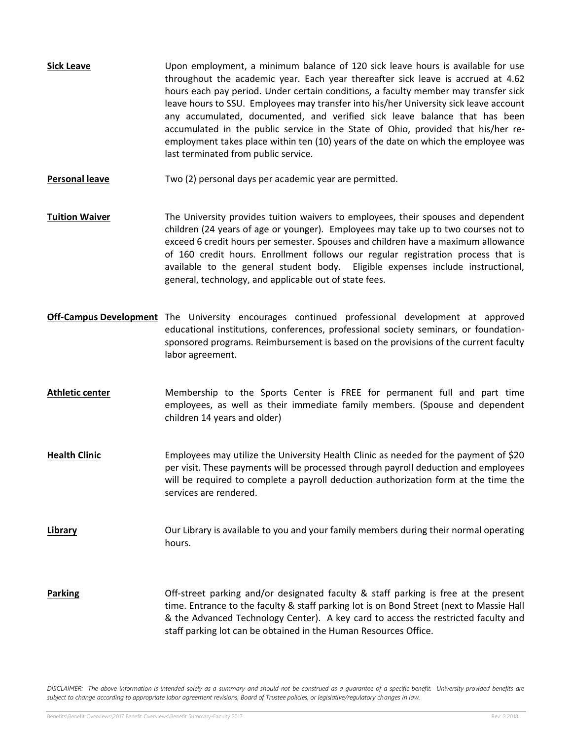- **Sick Leave Example 1** Upon employment, a minimum balance of 120 sick leave hours is available for use throughout the academic year. Each year thereafter sick leave is accrued at 4.62 hours each pay period. Under certain conditions, a faculty member may transfer sick leave hours to SSU. Employees may transfer into his/her University sick leave account any accumulated, documented, and verified sick leave balance that has been accumulated in the public service in the State of Ohio, provided that his/her reemployment takes place within ten (10) years of the date on which the employee was last terminated from public service.
- **Personal leave** Two (2) personal days per academic year are permitted.
- **Tuition Waiver** The University provides tuition waivers to employees, their spouses and dependent children (24 years of age or younger). Employees may take up to two courses not to exceed 6 credit hours per semester. Spouses and children have a maximum allowance of 160 credit hours. Enrollment follows our regular registration process that is available to the general student body. Eligible expenses include instructional, general, technology, and applicable out of state fees.
- **Off-Campus Development** The University encourages continued professional development at approved educational institutions, conferences, professional society seminars, or foundationsponsored programs. Reimbursement is based on the provisions of the current faculty labor agreement.
- **Athletic center** Membership to the Sports Center is FREE for permanent full and part time employees, as well as their immediate family members. (Spouse and dependent children 14 years and older)
- **Health Clinic** Employees may utilize the University Health Clinic as needed for the payment of \$20 per visit. These payments will be processed through payroll deduction and employees will be required to complete a payroll deduction authorization form at the time the services are rendered.
- **Library Cur Library** is available to you and your family members during their normal operating hours.
- **Parking Cff-street parking and/or designated faculty & staff parking is free at the present** time. Entrance to the faculty & staff parking lot is on Bond Street (next to Massie Hall & the Advanced Technology Center). A key card to access the restricted faculty and staff parking lot can be obtained in the Human Resources Office.

*DISCLAIMER: The above information is intended solely as a summary and should not be construed as a guarantee of a specific benefit. University provided benefits are subject to change according to appropriate labor agreement revisions, Board of Trustee policies, or legislative/regulatory changes in law.*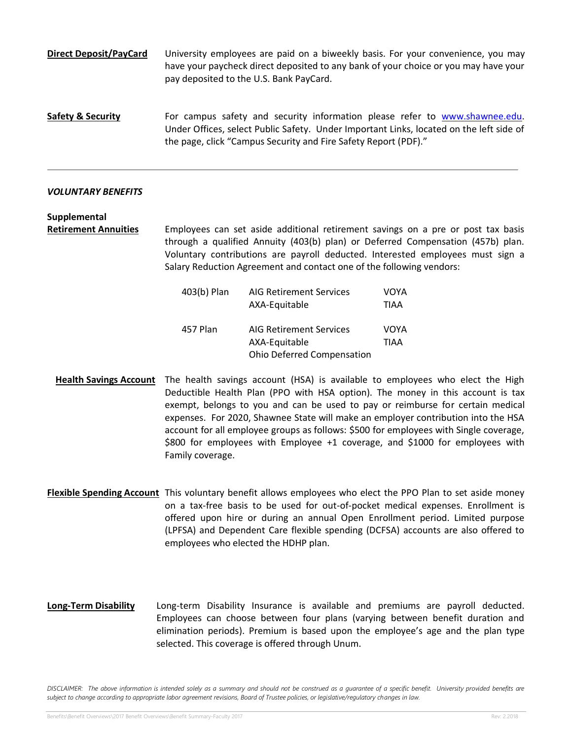**Direct Deposit/PayCard** University employees are paid on a biweekly basis. For your convenience, you may have your paycheck direct deposited to any bank of your choice or you may have your pay deposited to the U.S. Bank PayCard.

**Safety & Security** For campus safety and security information please refer to [www.shawnee.edu.](http://www.shawnee.edu/) Under Offices, select Public Safety. Under Important Links, located on the left side of the page, click "Campus Security and Fire Safety Report (PDF)."

## *VOLUNTARY BENEFITS*

**Supplemental**

**Retirement Annuities** Employees can set aside additional retirement savings on a pre or post tax basis through a qualified Annuity (403(b) plan) or Deferred Compensation (457b) plan. Voluntary contributions are payroll deducted. Interested employees must sign a Salary Reduction Agreement and contact one of the following vendors:

| 403(b) Plan | <b>AIG Retirement Services</b>    | VOYA |  |
|-------------|-----------------------------------|------|--|
|             | AXA-Equitable                     | TIAA |  |
| 457 Plan    | <b>AIG Retirement Services</b>    | VOYA |  |
|             | AXA-Equitable                     | TIAA |  |
|             | <b>Ohio Deferred Compensation</b> |      |  |

- **Health Savings Account** The health savings account (HSA) is available to employees who elect the High Deductible Health Plan (PPO with HSA option). The money in this account is tax exempt, belongs to you and can be used to pay or reimburse for certain medical expenses. For 2020, Shawnee State will make an employer contribution into the HSA account for all employee groups as follows: \$500 for employees with Single coverage, \$800 for employees with Employee +1 coverage, and \$1000 for employees with Family coverage.
- **Flexible Spending Account** This voluntary benefit allows employees who elect the PPO Plan to set aside money on a tax-free basis to be used for out-of-pocket medical expenses. Enrollment is offered upon hire or during an annual Open Enrollment period. Limited purpose (LPFSA) and Dependent Care flexible spending (DCFSA) accounts are also offered to employees who elected the HDHP plan.
- **Long-Term Disability** Long-term Disability Insurance is available and premiums are payroll deducted. Employees can choose between four plans (varying between benefit duration and elimination periods). Premium is based upon the employee's age and the plan type selected. This coverage is offered through Unum.

DISCLAIMER: The above information is intended solely as a summary and should not be construed as a quarantee of a specific benefit. University provided benefits are *subject to change according to appropriate labor agreement revisions, Board of Trustee policies, or legislative/regulatory changes in law.*